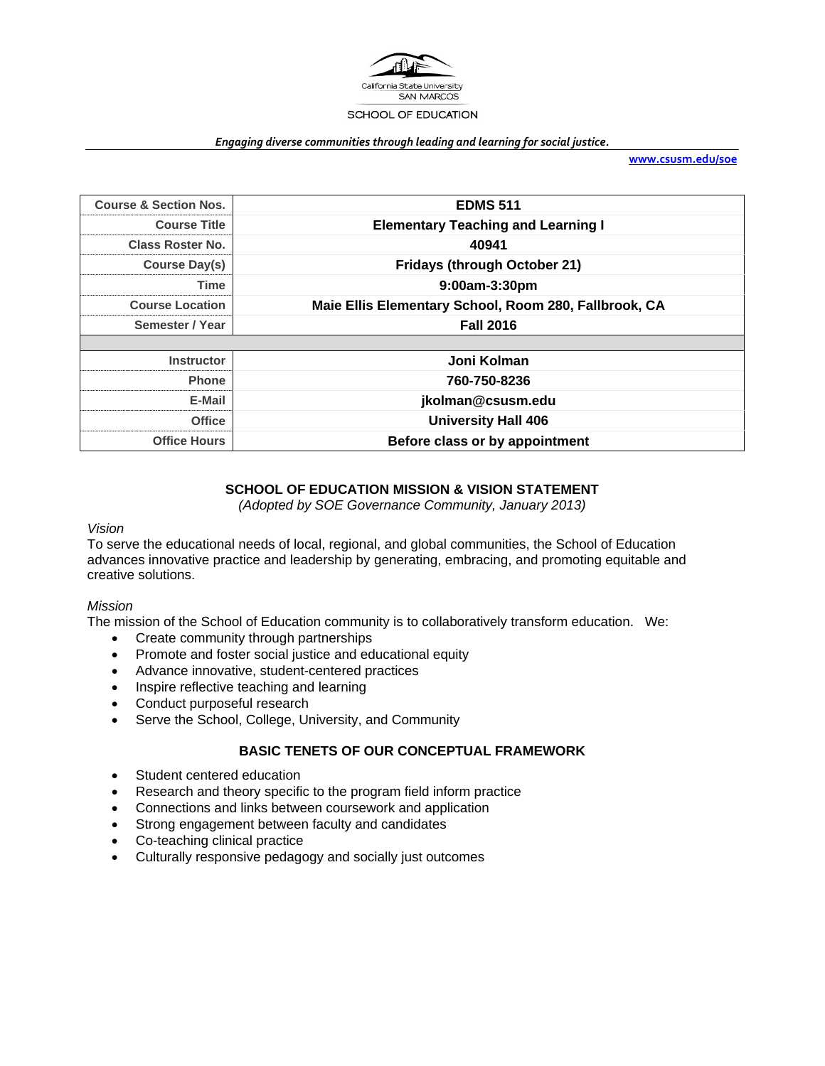

#### *Engaging diverse communities through leading and learning for social justice.*

**www.csusm.edu/soe**

| <b>Course &amp; Section Nos.</b> | <b>EDMS 511</b>                                       |  |
|----------------------------------|-------------------------------------------------------|--|
| <b>Course Title</b>              | <b>Elementary Teaching and Learning I</b>             |  |
| <b>Class Roster No.</b>          | 40941                                                 |  |
| Course Day(s)                    | <b>Fridays (through October 21)</b>                   |  |
| Time                             | 9:00am-3:30pm                                         |  |
| <b>Course Location</b>           | Maie Ellis Elementary School, Room 280, Fallbrook, CA |  |
| Semester / Year                  | <b>Fall 2016</b>                                      |  |
|                                  |                                                       |  |
| <b>Instructor</b>                | Joni Kolman                                           |  |
| <b>Phone</b>                     | 760-750-8236                                          |  |
| E-Mail                           | jkolman@csusm.edu                                     |  |
| <b>Office</b>                    | <b>University Hall 406</b>                            |  |
| <b>Office Hours</b>              | Before class or by appointment                        |  |

## **SCHOOL OF EDUCATION MISSION & VISION STATEMENT**

*(Adopted by SOE Governance Community, January 2013)* 

#### *Vision*

To serve the educational needs of local, regional, and global communities, the School of Education advances innovative practice and leadership by generating, embracing, and promoting equitable and creative solutions.

#### *Mission*

The mission of the School of Education community is to collaboratively transform education. We:

- Create community through partnerships
- Promote and foster social justice and educational equity
- Advance innovative, student-centered practices
- Inspire reflective teaching and learning
- Conduct purposeful research
- Serve the School, College, University, and Community

#### **BASIC TENETS OF OUR CONCEPTUAL FRAMEWORK**

- Student centered education
- Research and theory specific to the program field inform practice
- Connections and links between coursework and application
- Strong engagement between faculty and candidates
- Co-teaching clinical practice
- Culturally responsive pedagogy and socially just outcomes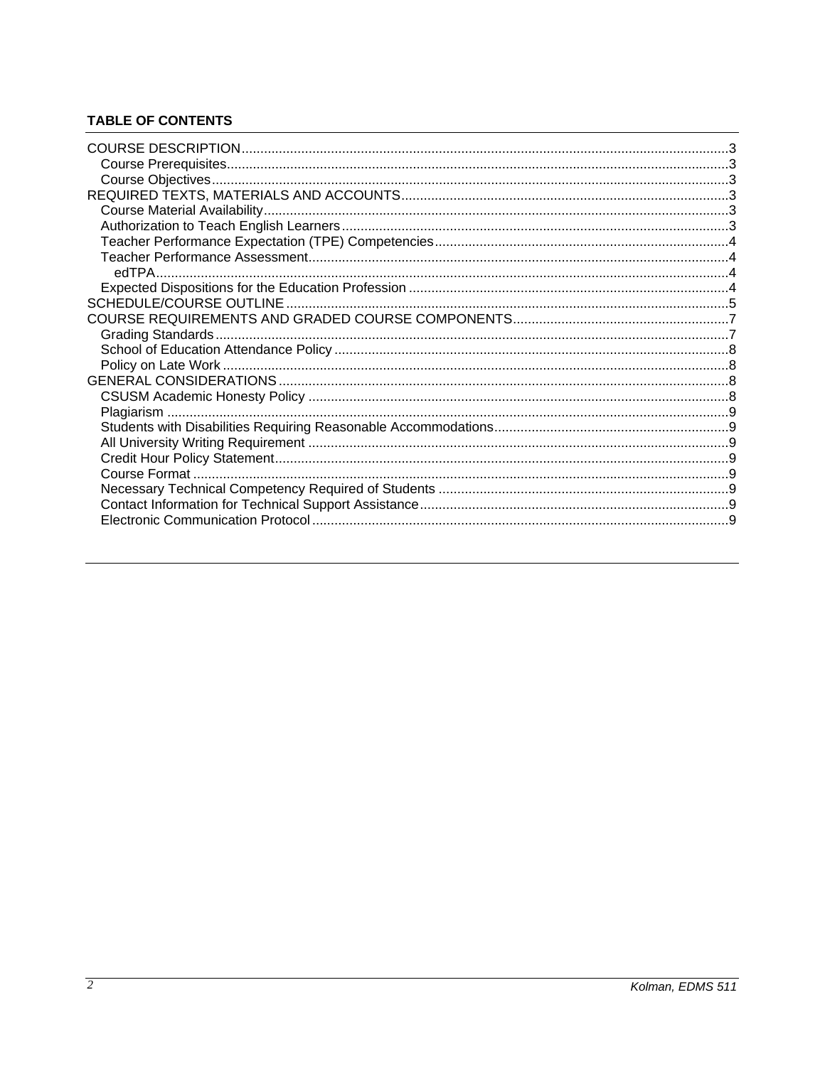# **TABLE OF CONTENTS**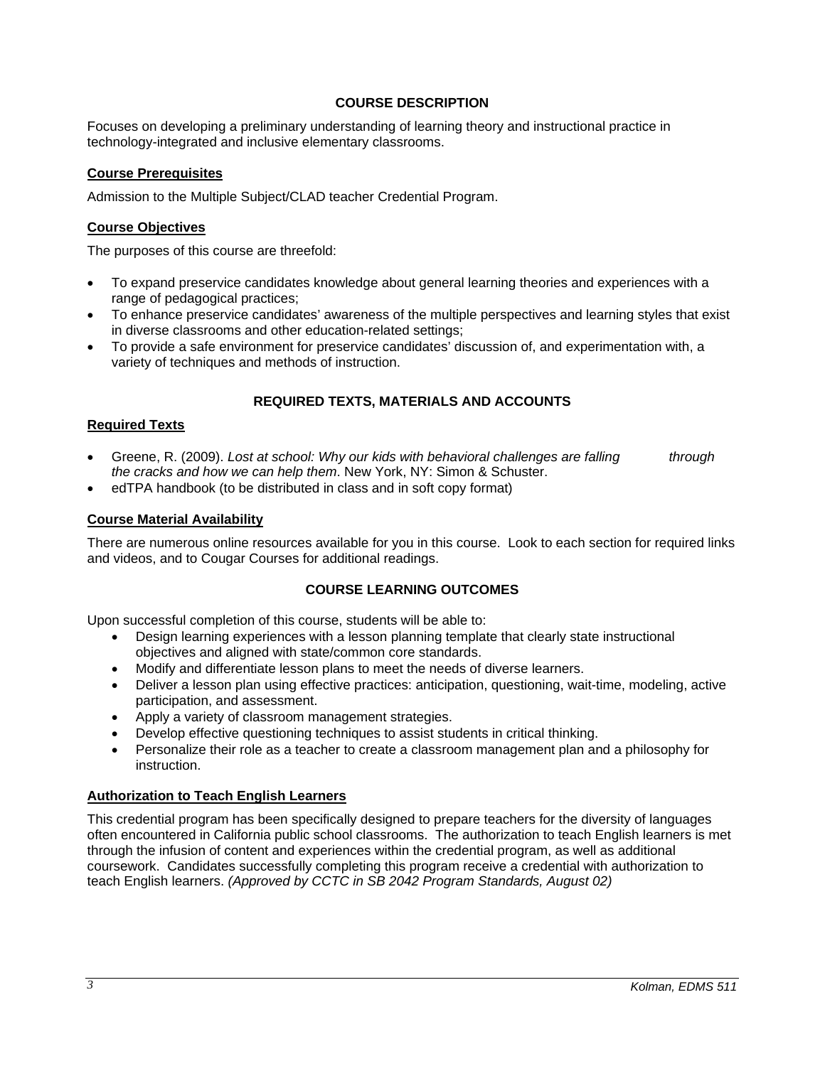## **COURSE DESCRIPTION**

Focuses on developing a preliminary understanding of learning theory and instructional practice in technology-integrated and inclusive elementary classrooms.

## **Course Prerequisites**

Admission to the Multiple Subject/CLAD teacher Credential Program.

### **Course Objectives**

The purposes of this course are threefold:

- To expand preservice candidates knowledge about general learning theories and experiences with a range of pedagogical practices;
- To enhance preservice candidates' awareness of the multiple perspectives and learning styles that exist in diverse classrooms and other education-related settings;
- To provide a safe environment for preservice candidates' discussion of, and experimentation with, a variety of techniques and methods of instruction.

## **REQUIRED TEXTS, MATERIALS AND ACCOUNTS**

#### **Required Texts**

- Greene, R. (2009). *Lost at school: Why our kids with behavioral challenges are falling through the cracks and how we can help them*. New York, NY: Simon & Schuster.
- edTPA handbook (to be distributed in class and in soft copy format)

### **Course Material Availability**

There are numerous online resources available for you in this course. Look to each section for required links and videos, and to Cougar Courses for additional readings.

#### **COURSE LEARNING OUTCOMES**

Upon successful completion of this course, students will be able to:

- Design learning experiences with a lesson planning template that clearly state instructional objectives and aligned with state/common core standards.
- Modify and differentiate lesson plans to meet the needs of diverse learners.
- Deliver a lesson plan using effective practices: anticipation, questioning, wait-time, modeling, active participation, and assessment.
- Apply a variety of classroom management strategies.
- Develop effective questioning techniques to assist students in critical thinking.
- Personalize their role as a teacher to create a classroom management plan and a philosophy for instruction.

## **Authorization to Teach English Learners**

This credential program has been specifically designed to prepare teachers for the diversity of languages often encountered in California public school classrooms. The authorization to teach English learners is met through the infusion of content and experiences within the credential program, as well as additional coursework. Candidates successfully completing this program receive a credential with authorization to teach English learners. *(Approved by CCTC in SB 2042 Program Standards, August 02)*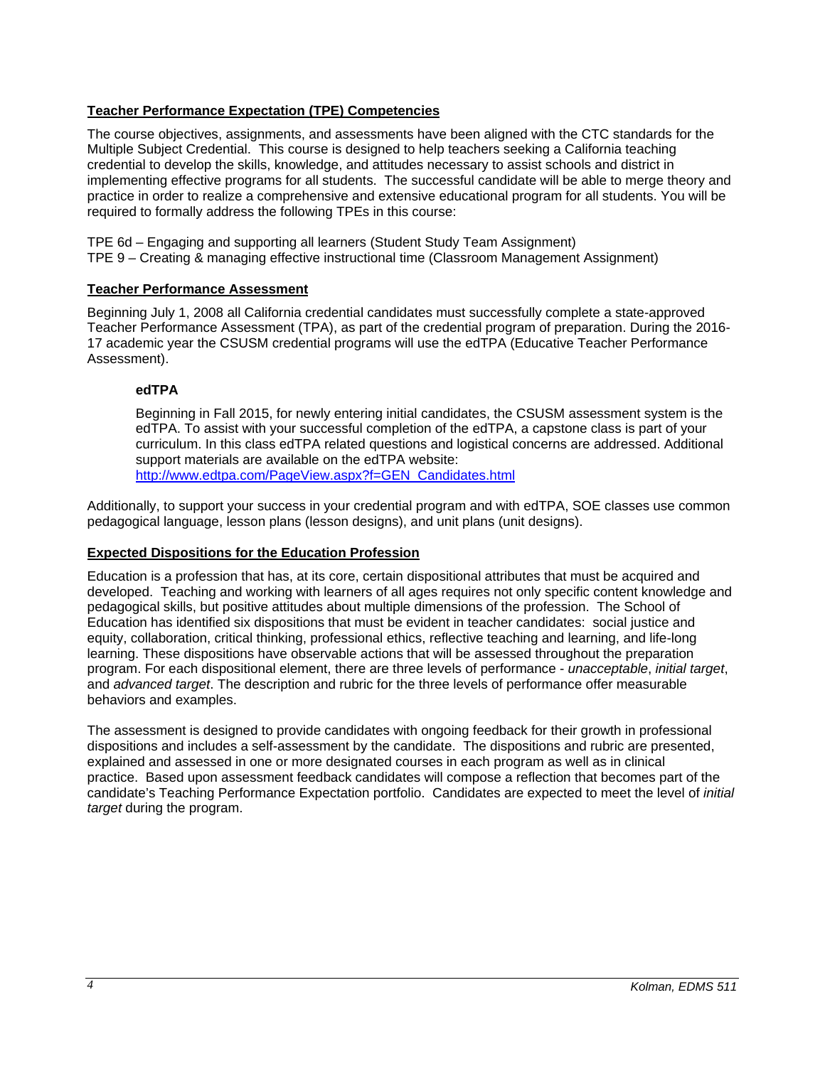## **Teacher Performance Expectation (TPE) Competencies**

The course objectives, assignments, and assessments have been aligned with the CTC standards for the Multiple Subject Credential. This course is designed to help teachers seeking a California teaching credential to develop the skills, knowledge, and attitudes necessary to assist schools and district in implementing effective programs for all students. The successful candidate will be able to merge theory and practice in order to realize a comprehensive and extensive educational program for all students. You will be required to formally address the following TPEs in this course:

TPE 6d – Engaging and supporting all learners (Student Study Team Assignment) TPE 9 – Creating & managing effective instructional time (Classroom Management Assignment)

## **Teacher Performance Assessment**

Beginning July 1, 2008 all California credential candidates must successfully complete a state-approved Teacher Performance Assessment (TPA), as part of the credential program of preparation. During the 2016- 17 academic year the CSUSM credential programs will use the edTPA (Educative Teacher Performance Assessment).

## **edTPA**

Beginning in Fall 2015, for newly entering initial candidates, the CSUSM assessment system is the edTPA. To assist with your successful completion of the edTPA, a capstone class is part of your curriculum. In this class edTPA related questions and logistical concerns are addressed. Additional support materials are available on the edTPA website: http://www.edtpa.com/PageView.aspx?f=GEN\_Candidates.html

Additionally, to support your success in your credential program and with edTPA, SOE classes use common pedagogical language, lesson plans (lesson designs), and unit plans (unit designs).

## **Expected Dispositions for the Education Profession**

Education is a profession that has, at its core, certain dispositional attributes that must be acquired and developed. Teaching and working with learners of all ages requires not only specific content knowledge and pedagogical skills, but positive attitudes about multiple dimensions of the profession. The School of Education has identified six dispositions that must be evident in teacher candidates: social justice and equity, collaboration, critical thinking, professional ethics, reflective teaching and learning, and life-long learning. These dispositions have observable actions that will be assessed throughout the preparation program. For each dispositional element, there are three levels of performance - *unacceptable*, *initial target*, and *advanced target*. The description and rubric for the three levels of performance offer measurable behaviors and examples.

The assessment is designed to provide candidates with ongoing feedback for their growth in professional dispositions and includes a self-assessment by the candidate. The dispositions and rubric are presented, explained and assessed in one or more designated courses in each program as well as in clinical practice. Based upon assessment feedback candidates will compose a reflection that becomes part of the candidate's Teaching Performance Expectation portfolio. Candidates are expected to meet the level of *initial target* during the program.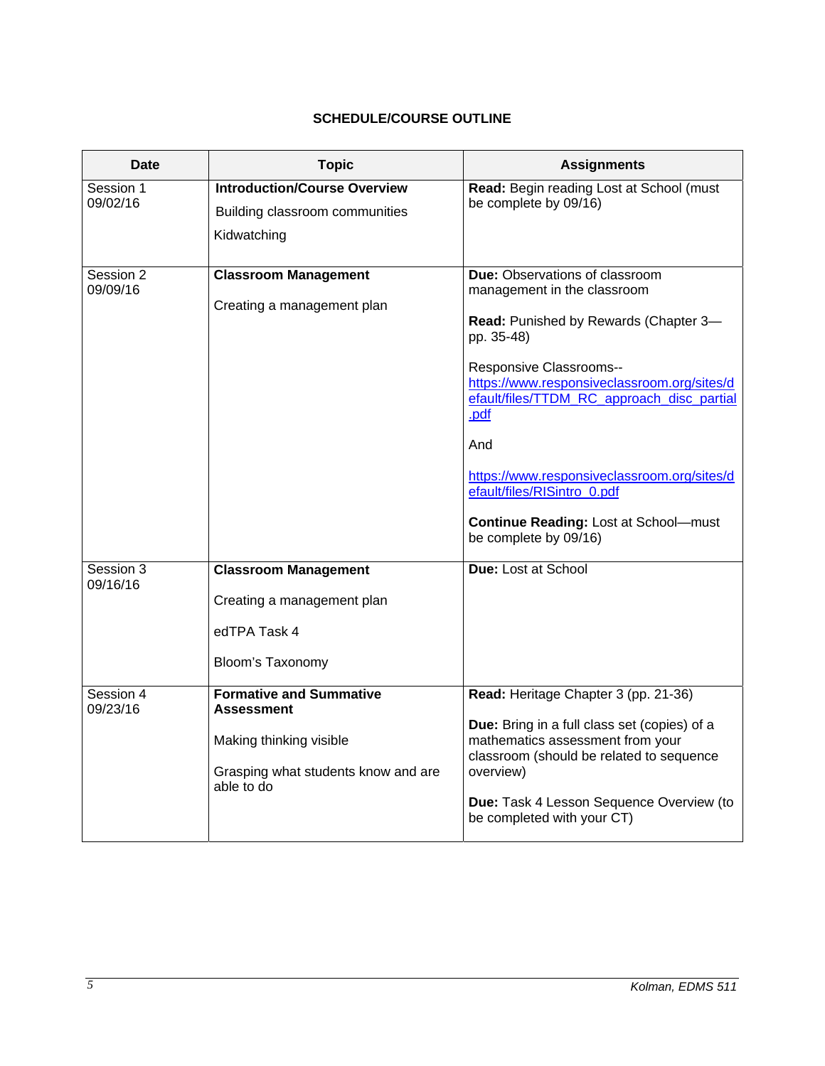# **SCHEDULE/COURSE OUTLINE**

| Date                  | <b>Topic</b>                                                                                                                        | <b>Assignments</b>                                                                                                                                                                                                                                                                                                                                                                                                        |
|-----------------------|-------------------------------------------------------------------------------------------------------------------------------------|---------------------------------------------------------------------------------------------------------------------------------------------------------------------------------------------------------------------------------------------------------------------------------------------------------------------------------------------------------------------------------------------------------------------------|
| Session 1<br>09/02/16 | <b>Introduction/Course Overview</b><br>Building classroom communities<br>Kidwatching                                                | Read: Begin reading Lost at School (must<br>be complete by 09/16)                                                                                                                                                                                                                                                                                                                                                         |
| Session 2<br>09/09/16 | <b>Classroom Management</b><br>Creating a management plan                                                                           | <b>Due:</b> Observations of classroom<br>management in the classroom<br>Read: Punished by Rewards (Chapter 3-<br>pp. 35-48)<br>Responsive Classrooms--<br>https://www.responsiveclassroom.org/sites/d<br>efault/files/TTDM_RC_approach_disc_partial<br>.pdf<br>And<br>https://www.responsiveclassroom.org/sites/d<br>efault/files/RISintro_0.pdf<br><b>Continue Reading: Lost at School-must</b><br>be complete by 09/16) |
| Session 3<br>09/16/16 | <b>Classroom Management</b><br>Creating a management plan<br>edTPA Task 4<br>Bloom's Taxonomy                                       | Due: Lost at School                                                                                                                                                                                                                                                                                                                                                                                                       |
| Session 4<br>09/23/16 | <b>Formative and Summative</b><br><b>Assessment</b><br>Making thinking visible<br>Grasping what students know and are<br>able to do | Read: Heritage Chapter 3 (pp. 21-36)<br>Due: Bring in a full class set (copies) of a<br>mathematics assessment from your<br>classroom (should be related to sequence<br>overview)<br>Due: Task 4 Lesson Sequence Overview (to<br>be completed with your CT)                                                                                                                                                               |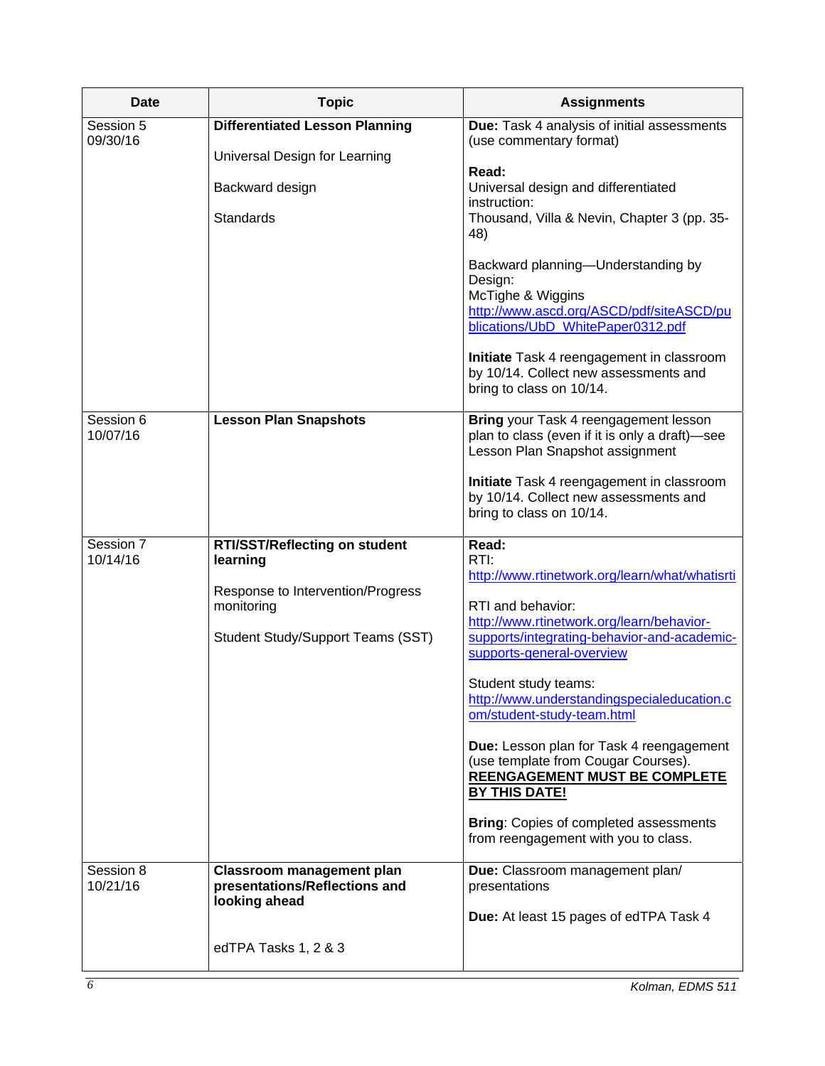| <b>Date</b>           | <b>Topic</b>                                                                                                                      | <b>Assignments</b>                                                                                                                                                                                                                                                                                                                                                                                                                                                                                                                                     |
|-----------------------|-----------------------------------------------------------------------------------------------------------------------------------|--------------------------------------------------------------------------------------------------------------------------------------------------------------------------------------------------------------------------------------------------------------------------------------------------------------------------------------------------------------------------------------------------------------------------------------------------------------------------------------------------------------------------------------------------------|
| Session 5<br>09/30/16 | <b>Differentiated Lesson Planning</b>                                                                                             | Due: Task 4 analysis of initial assessments<br>(use commentary format)                                                                                                                                                                                                                                                                                                                                                                                                                                                                                 |
|                       | Universal Design for Learning<br>Backward design<br>Standards                                                                     | Read:<br>Universal design and differentiated<br>instruction:<br>Thousand, Villa & Nevin, Chapter 3 (pp. 35-<br>48)                                                                                                                                                                                                                                                                                                                                                                                                                                     |
|                       |                                                                                                                                   | Backward planning-Understanding by<br>Design:<br>McTighe & Wiggins<br>http://www.ascd.org/ASCD/pdf/siteASCD/pu<br>blications/UbD_WhitePaper0312.pdf                                                                                                                                                                                                                                                                                                                                                                                                    |
|                       |                                                                                                                                   | Initiate Task 4 reengagement in classroom<br>by 10/14. Collect new assessments and<br>bring to class on 10/14.                                                                                                                                                                                                                                                                                                                                                                                                                                         |
| Session 6<br>10/07/16 | <b>Lesson Plan Snapshots</b>                                                                                                      | Bring your Task 4 reengagement lesson<br>plan to class (even if it is only a draft)-see<br>Lesson Plan Snapshot assignment                                                                                                                                                                                                                                                                                                                                                                                                                             |
|                       |                                                                                                                                   | Initiate Task 4 reengagement in classroom<br>by 10/14. Collect new assessments and<br>bring to class on 10/14.                                                                                                                                                                                                                                                                                                                                                                                                                                         |
| Session 7<br>10/14/16 | RTI/SST/Reflecting on student<br>learning<br>Response to Intervention/Progress<br>monitoring<br>Student Study/Support Teams (SST) | Read:<br>RTI:<br>http://www.rtinetwork.org/learn/what/whatisrti<br>RTI and behavior:<br>http://www.rtinetwork.org/learn/behavior-<br>supports/integrating-behavior-and-academic-<br>supports-general-overview<br>Student study teams:<br>http://www.understandingspecialeducation.c<br>om/student-study-team.html<br>Due: Lesson plan for Task 4 reengagement<br>(use template from Cougar Courses).<br>REENGAGEMENT MUST BE COMPLETE<br><b>BY THIS DATE!</b><br><b>Bring: Copies of completed assessments</b><br>from reengagement with you to class. |
| Session 8<br>10/21/16 | <b>Classroom management plan</b><br>presentations/Reflections and<br>looking ahead                                                | Due: Classroom management plan/<br>presentations<br>Due: At least 15 pages of edTPA Task 4                                                                                                                                                                                                                                                                                                                                                                                                                                                             |
|                       | edTPA Tasks 1, 2 & 3                                                                                                              |                                                                                                                                                                                                                                                                                                                                                                                                                                                                                                                                                        |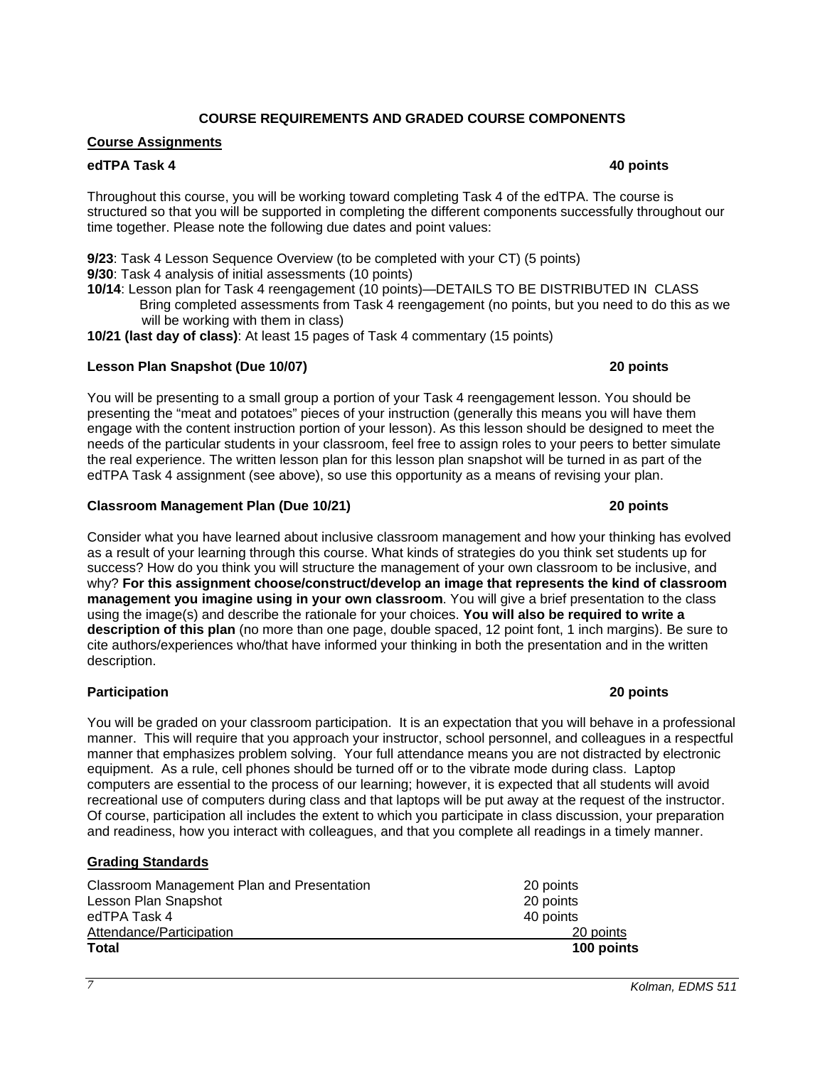## *7 Kolman, EDMS 511*

### **COURSE REQUIREMENTS AND GRADED COURSE COMPONENTS**

### **Course Assignments**

#### **edTPA Task 4 40 points edTPA Task 4**

Throughout this course, you will be working toward completing Task 4 of the edTPA. The course is structured so that you will be supported in completing the different components successfully throughout our time together. Please note the following due dates and point values:

**9/23**: Task 4 Lesson Sequence Overview (to be completed with your CT) (5 points) **9/30**: Task 4 analysis of initial assessments (10 points)

**10/14**: Lesson plan for Task 4 reengagement (10 points)—DETAILS TO BE DISTRIBUTED IN CLASS Bring completed assessments from Task 4 reengagement (no points, but you need to do this as we will be working with them in class)

**10/21 (last day of class)**: At least 15 pages of Task 4 commentary (15 points)

#### **Lesson Plan Snapshot (Due 10/07) 20 points**

You will be presenting to a small group a portion of your Task 4 reengagement lesson. You should be presenting the "meat and potatoes" pieces of your instruction (generally this means you will have them engage with the content instruction portion of your lesson). As this lesson should be designed to meet the needs of the particular students in your classroom, feel free to assign roles to your peers to better simulate the real experience. The written lesson plan for this lesson plan snapshot will be turned in as part of the edTPA Task 4 assignment (see above), so use this opportunity as a means of revising your plan.

#### **Classroom Management Plan (Due 10/21) 20 points**

Consider what you have learned about inclusive classroom management and how your thinking has evolved as a result of your learning through this course. What kinds of strategies do you think set students up for success? How do you think you will structure the management of your own classroom to be inclusive, and why? **For this assignment choose/construct/develop an image that represents the kind of classroom management you imagine using in your own classroom**. You will give a brief presentation to the class using the image(s) and describe the rationale for your choices. **You will also be required to write a description of this plan** (no more than one page, double spaced, 12 point font, 1 inch margins). Be sure to cite authors/experiences who/that have informed your thinking in both the presentation and in the written description.

#### **Participation 20 points**

You will be graded on your classroom participation. It is an expectation that you will behave in a professional manner. This will require that you approach your instructor, school personnel, and colleagues in a respectful manner that emphasizes problem solving. Your full attendance means you are not distracted by electronic equipment. As a rule, cell phones should be turned off or to the vibrate mode during class. Laptop computers are essential to the process of our learning; however, it is expected that all students will avoid recreational use of computers during class and that laptops will be put away at the request of the instructor. Of course, participation all includes the extent to which you participate in class discussion, your preparation and readiness, how you interact with colleagues, and that you complete all readings in a timely manner.

#### **Grading Standards**

| Classroom Management Plan and Presentation | 20 points  |
|--------------------------------------------|------------|
| Lesson Plan Snapshot                       | 20 points  |
| edTPA Task 4                               | 40 points  |
| Attendance/Participation                   | 20 points  |
| <b>Total</b>                               | 100 points |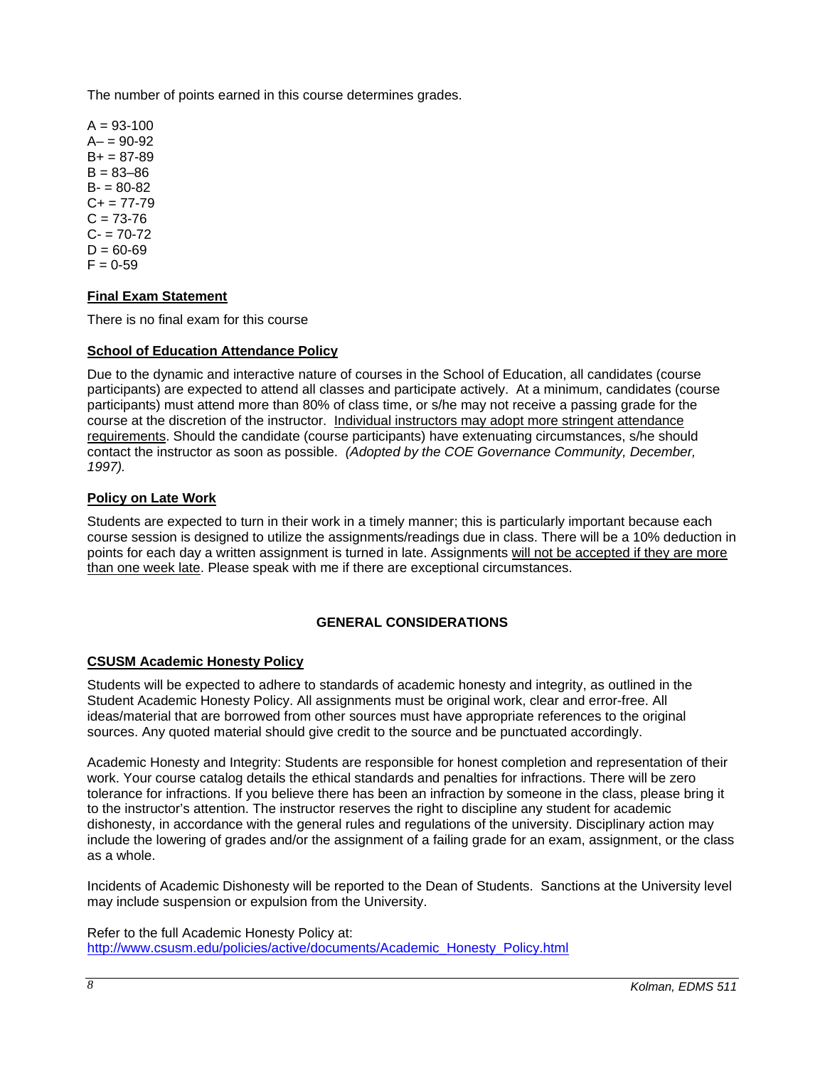The number of points earned in this course determines grades.

 $A = 93-100$  $A - 90 - 92$  $B+ = 87-89$  $B = 83 - 86$  $B - 80 - 82$  $C_{+}$  = 77-79  $C = 73 - 76$  $C - 70 - 72$  $D = 60 - 69$  $F = 0.59$ 

## **Final Exam Statement**

There is no final exam for this course

### **School of Education Attendance Policy**

Due to the dynamic and interactive nature of courses in the School of Education, all candidates (course participants) are expected to attend all classes and participate actively. At a minimum, candidates (course participants) must attend more than 80% of class time, or s/he may not receive a passing grade for the course at the discretion of the instructor. Individual instructors may adopt more stringent attendance requirements. Should the candidate (course participants) have extenuating circumstances, s/he should contact the instructor as soon as possible. *(Adopted by the COE Governance Community, December, 1997).*

### **Policy on Late Work**

Students are expected to turn in their work in a timely manner; this is particularly important because each course session is designed to utilize the assignments/readings due in class. There will be a 10% deduction in points for each day a written assignment is turned in late. Assignments will not be accepted if they are more than one week late. Please speak with me if there are exceptional circumstances.

## **GENERAL CONSIDERATIONS**

## **CSUSM Academic Honesty Policy**

Students will be expected to adhere to standards of academic honesty and integrity, as outlined in the Student Academic Honesty Policy. All assignments must be original work, clear and error-free. All ideas/material that are borrowed from other sources must have appropriate references to the original sources. Any quoted material should give credit to the source and be punctuated accordingly.

Academic Honesty and Integrity: Students are responsible for honest completion and representation of their work. Your course catalog details the ethical standards and penalties for infractions. There will be zero tolerance for infractions. If you believe there has been an infraction by someone in the class, please bring it to the instructor's attention. The instructor reserves the right to discipline any student for academic dishonesty, in accordance with the general rules and regulations of the university. Disciplinary action may include the lowering of grades and/or the assignment of a failing grade for an exam, assignment, or the class as a whole.

Incidents of Academic Dishonesty will be reported to the Dean of Students. Sanctions at the University level may include suspension or expulsion from the University.

Refer to the full Academic Honesty Policy at: http://www.csusm.edu/policies/active/documents/Academic\_Honesty\_Policy.html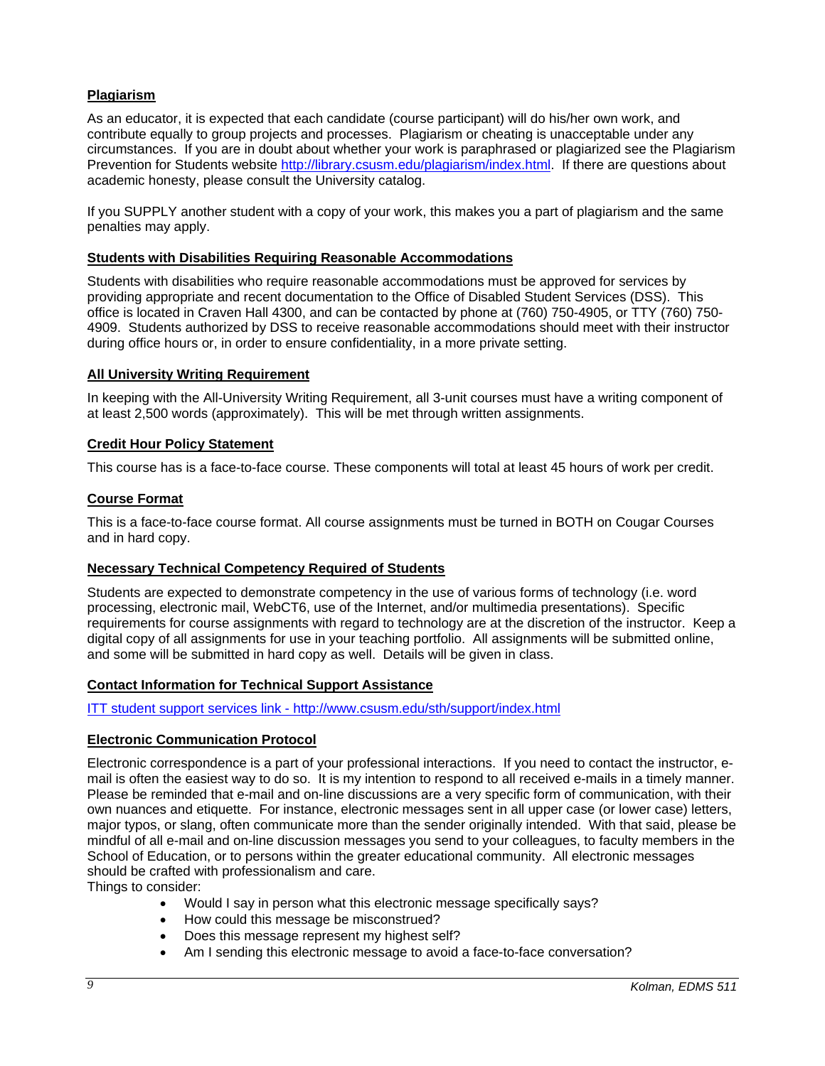## **Plagiarism**

As an educator, it is expected that each candidate (course participant) will do his/her own work, and contribute equally to group projects and processes. Plagiarism or cheating is unacceptable under any circumstances. If you are in doubt about whether your work is paraphrased or plagiarized see the Plagiarism Prevention for Students website http://library.csusm.edu/plagiarism/index.html. If there are questions about academic honesty, please consult the University catalog.

If you SUPPLY another student with a copy of your work, this makes you a part of plagiarism and the same penalties may apply.

### **Students with Disabilities Requiring Reasonable Accommodations**

Students with disabilities who require reasonable accommodations must be approved for services by providing appropriate and recent documentation to the Office of Disabled Student Services (DSS). This office is located in Craven Hall 4300, and can be contacted by phone at (760) 750-4905, or TTY (760) 750- 4909. Students authorized by DSS to receive reasonable accommodations should meet with their instructor during office hours or, in order to ensure confidentiality, in a more private setting.

### **All University Writing Requirement**

In keeping with the All-University Writing Requirement, all 3-unit courses must have a writing component of at least 2,500 words (approximately). This will be met through written assignments.

### **Credit Hour Policy Statement**

This course has is a face-to-face course. These components will total at least 45 hours of work per credit.

### **Course Format**

This is a face-to-face course format. All course assignments must be turned in BOTH on Cougar Courses and in hard copy.

#### **Necessary Technical Competency Required of Students**

Students are expected to demonstrate competency in the use of various forms of technology (i.e. word processing, electronic mail, WebCT6, use of the Internet, and/or multimedia presentations). Specific requirements for course assignments with regard to technology are at the discretion of the instructor. Keep a digital copy of all assignments for use in your teaching portfolio. All assignments will be submitted online, and some will be submitted in hard copy as well. Details will be given in class.

#### **Contact Information for Technical Support Assistance**

#### ITT student support services link - http://www.csusm.edu/sth/support/index.html

#### **Electronic Communication Protocol**

Electronic correspondence is a part of your professional interactions. If you need to contact the instructor, email is often the easiest way to do so. It is my intention to respond to all received e-mails in a timely manner. Please be reminded that e-mail and on-line discussions are a very specific form of communication, with their own nuances and etiquette. For instance, electronic messages sent in all upper case (or lower case) letters, major typos, or slang, often communicate more than the sender originally intended. With that said, please be mindful of all e-mail and on-line discussion messages you send to your colleagues, to faculty members in the School of Education, or to persons within the greater educational community. All electronic messages should be crafted with professionalism and care.

Things to consider:

- Would I say in person what this electronic message specifically says?
- How could this message be misconstrued?
- Does this message represent my highest self?
- Am I sending this electronic message to avoid a face-to-face conversation?